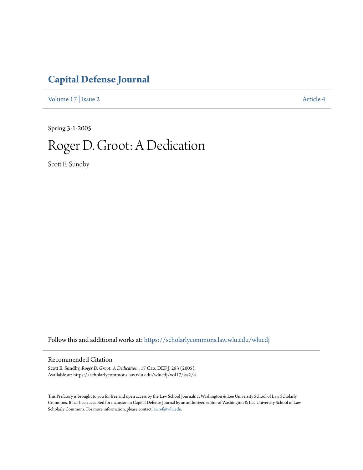## **[Capital Defense Journal](https://scholarlycommons.law.wlu.edu/wlucdj?utm_source=scholarlycommons.law.wlu.edu%2Fwlucdj%2Fvol17%2Fiss2%2F4&utm_medium=PDF&utm_campaign=PDFCoverPages)**

[Volume 17](https://scholarlycommons.law.wlu.edu/wlucdj/vol17?utm_source=scholarlycommons.law.wlu.edu%2Fwlucdj%2Fvol17%2Fiss2%2F4&utm_medium=PDF&utm_campaign=PDFCoverPages) | [Issue 2](https://scholarlycommons.law.wlu.edu/wlucdj/vol17/iss2?utm_source=scholarlycommons.law.wlu.edu%2Fwlucdj%2Fvol17%2Fiss2%2F4&utm_medium=PDF&utm_campaign=PDFCoverPages) [Article 4](https://scholarlycommons.law.wlu.edu/wlucdj/vol17/iss2/4?utm_source=scholarlycommons.law.wlu.edu%2Fwlucdj%2Fvol17%2Fiss2%2F4&utm_medium=PDF&utm_campaign=PDFCoverPages)

Spring 3-1-2005

## Roger D. Groot: A Dedication

Scott E. Sundby

Follow this and additional works at: [https://scholarlycommons.law.wlu.edu/wlucdj](https://scholarlycommons.law.wlu.edu/wlucdj?utm_source=scholarlycommons.law.wlu.edu%2Fwlucdj%2Fvol17%2Fiss2%2F4&utm_medium=PDF&utm_campaign=PDFCoverPages)

## Recommended Citation

Scott E. Sundby, *Roger D. Groot: A Dedication* , 17 Cap. DEF J. 283 (2005). Available at: https://scholarlycommons.law.wlu.edu/wlucdj/vol17/iss2/4

This Prefatory is brought to you for free and open access by the Law School Journals at Washington & Lee University School of Law Scholarly Commons. It has been accepted for inclusion in Capital Defense Journal by an authorized editor of Washington & Lee University School of Law Scholarly Commons. For more information, please contact [lawref@wlu.edu.](mailto:lawref@wlu.edu)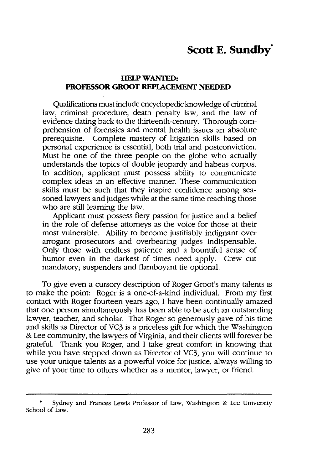## **HELP WANTED: PROFESSOR GROOT REPLACEMENT NEEDED**

Qualifications must include encyclopedic knowledge of criminal law, criminal procedure, death penalty law, and the law of evidence dating back to the thirteenth-century. Thorough comprehension of forensics and mental health issues an absolute prerequisite. Complete mastery of litigation skills based on personal experience is essential, both trial and postconviction. Must be one of the three people on the globe who actually understands the topics of double jeopardy and habeas corpus. In addition, applicant must possess ability to communicate complex ideas in an effective manner. These communication skills must be such that they inspire confidence among seasoned lawyers and judges while at the same time reaching those who are still learning the law.

Applicant must possess fiery passion for justice and a belief in the role of defense attorneys as the voice for those at their most vulnerable. Ability to become justifiably indignant over arrogant prosecutors and overbearing judges indispensable. Only those with endless patience and a bountiful sense of humor even in the darkest of times need apply. Crew cut mandatory; suspenders and flamboyant tie optional.

To give even a cursory description of Roger Groot's many talents is to make the point: Roger is a one-of-a-kind individual. From my first contact with Roger fourteen years ago, **I** have been continually amazed that one person simultaneously has been able to be such an outstanding lawyer, teacher, and scholar. That Roger so generously gave of his time and skills as Director of VC3 is a priceless gift for which the Washington & Lee community, the lawyers of Virginia, and their clients will forever be grateful. Thank you Roger, and **I** take great comfort in knowing that while you have stepped down as Director of VC3, you will continue to use your unique talents as a powerful voice for justice, always willing to give of your time to others whether as a mentor, lawyer, or friend.

**<sup>°</sup>** Sydney and Frances Lewis Professor of Law, Washington & Lee University School of Law.